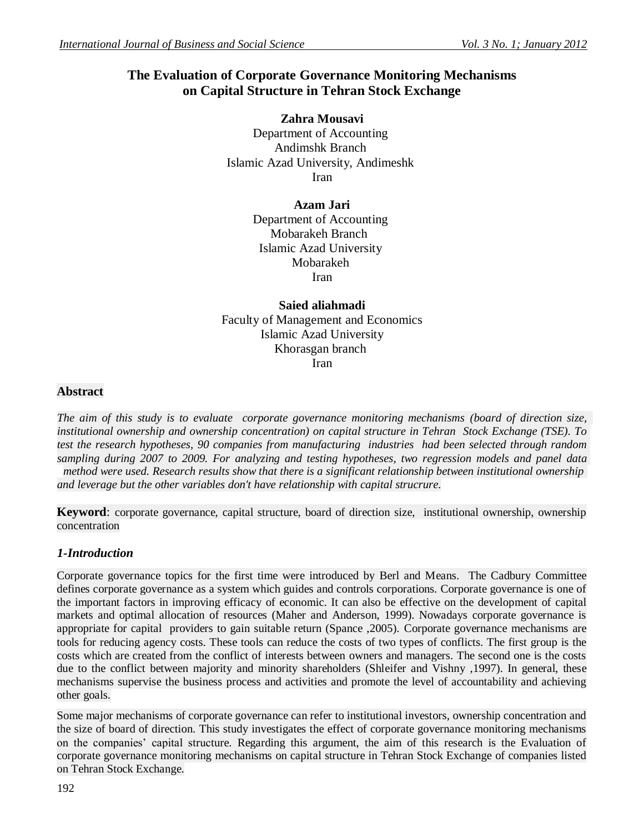# **The Evaluation of Corporate Governance Monitoring Mechanisms on Capital Structure in Tehran Stock Exchange**

**Zahra Mousavi** Department of Accounting Andimshk Branch Islamic Azad University, Andimeshk Iran

# **Azam Jari**

Department of Accounting Mobarakeh Branch Islamic Azad University Mobarakeh Iran

**Saied aliahmadi** Faculty of Management and Economics Islamic Azad University Khorasgan branch Iran

# **Abstract**

*The aim of this study is to evaluate corporate governance monitoring mechanisms (board of direction size, institutional ownership and ownership concentration) on capital structure in Tehran Stock Exchange (TSE). To test the research hypotheses, 90 companies from manufacturing industries had been selected through random sampling during 2007 to 2009. For analyzing and testing hypotheses, two regression models and panel data method were used. Research results show that there is a significant relationship between institutional ownership and leverage but the other variables don't have relationship with capital strucrure.*

**Keyword**: corporate governance, capital structure, board of direction size, institutional ownership, ownership concentration

# *1-Introduction*

Corporate governance topics for the first time were introduced by Berl and Means. The Cadbury Committee defines corporate governance as a system which guides and controls corporations. Corporate governance is one of the important factors in improving efficacy of economic. It can also be effective on the development of capital markets and optimal allocation of resources (Maher and Anderson, 1999). Nowadays corporate governance is appropriate for capital providers to gain suitable return (Spance ,2005). Corporate governance mechanisms are tools for reducing agency costs. These tools can reduce the costs of two types of conflicts. The first group is the costs which are created from the conflict of interests between owners and managers. The second one is the costs due to the conflict between majority and minority shareholders (Shleifer and Vishny ,1997). In general, these mechanisms supervise the business process and activities and promote the level of accountability and achieving other goals.

Some major mechanisms of corporate governance can refer to institutional investors, ownership concentration and the size of board of direction. This study investigates the effect of corporate governance monitoring mechanisms on the companies' capital structure. Regarding this argument, the aim of this research is the Evaluation of corporate governance monitoring mechanisms on capital structure in Tehran Stock Exchange of companies listed on Tehran Stock Exchange.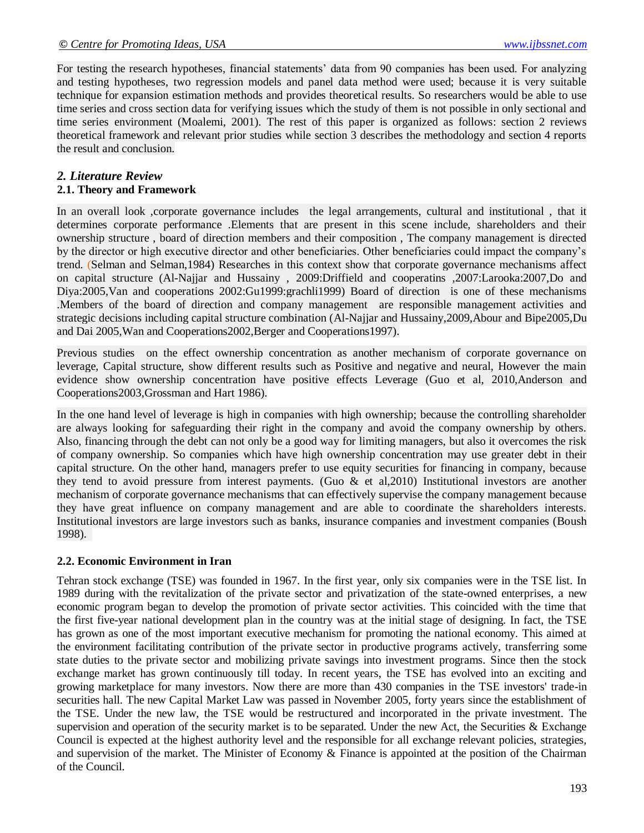For testing the research hypotheses, financial statements' data from 90 companies has been used. For analyzing and testing hypotheses, two regression models and panel data method were used; because it is very suitable technique for expansion estimation methods and provides theoretical results. So researchers would be able to use time series and cross section data for verifying issues which the study of them is not possible in only sectional and time series environment (Moalemi, 2001). The rest of this paper is organized as follows: section 2 reviews theoretical framework and relevant prior studies while section 3 describes the methodology and section 4 reports the result and conclusion.

#### *2. Literature Review*

#### **2.1. Theory and Framework**

In an overall look ,corporate governance includes the legal arrangements, cultural and institutional , that it determines corporate performance .Elements that are present in this scene include, shareholders and their ownership structure , board of direction members and their composition , The company management is directed by the director or high executive director and other beneficiaries. Other beneficiaries could impact the company's trend. (Selman and Selman,1984) Researches in this context show that corporate governance mechanisms affect on capital structure (Al-Najjar and Hussainy , 2009:Driffield and cooperatins ,2007:Larooka:2007,Do and Diya:2005,Van and cooperations 2002:Gu1999:grachli1999) Board of direction is one of these mechanisms .Members of the board of direction and company management are responsible management activities and strategic decisions including capital structure combination (Al-Najjar and Hussainy,2009,Abour and Bipe2005,Du and Dai 2005,Wan and Cooperations2002,Berger and Cooperations1997).

Previous studies on the effect ownership concentration as another mechanism of corporate governance on leverage, Capital structure, show different results such as Positive and negative and neural, However the main evidence show ownership concentration have positive effects Leverage (Guo et al, 2010,Anderson and Cooperations2003,Grossman and Hart 1986).

In the one hand level of leverage is high in companies with high ownership; because the controlling shareholder are always looking for safeguarding their right in the company and avoid the company ownership by others. Also, financing through the debt can not only be a good way for limiting managers, but also it overcomes the risk of company ownership. So companies which have high ownership concentration may use greater debt in their capital structure. On the other hand, managers prefer to use equity securities for financing in company, because they tend to avoid pressure from interest payments. (Guo & et al,2010) Institutional investors are another mechanism of corporate governance mechanisms that can effectively supervise the company management because they have great influence on company management and are able to coordinate the shareholders interests. Institutional investors are large investors such as banks, insurance companies and investment companies (Boush 1998).

#### **2.2. Economic Environment in Iran**

Tehran stock exchange (TSE) was founded in 1967. In the first year, only six companies were in the TSE list. In 1989 during with the revitalization of the private sector and privatization of the state-owned enterprises, a new economic program began to develop the promotion of private sector activities. This coincided with the time that the first five-year national development plan in the country was at the initial stage of designing. In fact, the TSE has grown as one of the most important executive mechanism for promoting the national economy. This aimed at the environment facilitating contribution of the private sector in productive programs actively, transferring some state duties to the private sector and mobilizing private savings into investment programs. Since then the stock exchange market has grown continuously till today. In recent years, the TSE has evolved into an exciting and growing marketplace for many investors. Now there are more than 430 companies in the TSE investors' trade-in securities hall. The new Capital Market Law was passed in November 2005, forty years since the establishment of the TSE. Under the new law, the TSE would be restructured and incorporated in the private investment. The supervision and operation of the security market is to be separated. Under the new Act, the Securities  $\&$  Exchange Council is expected at the highest authority level and the responsible for all exchange relevant policies, strategies, and supervision of the market. The Minister of Economy & Finance is appointed at the position of the Chairman of the Council.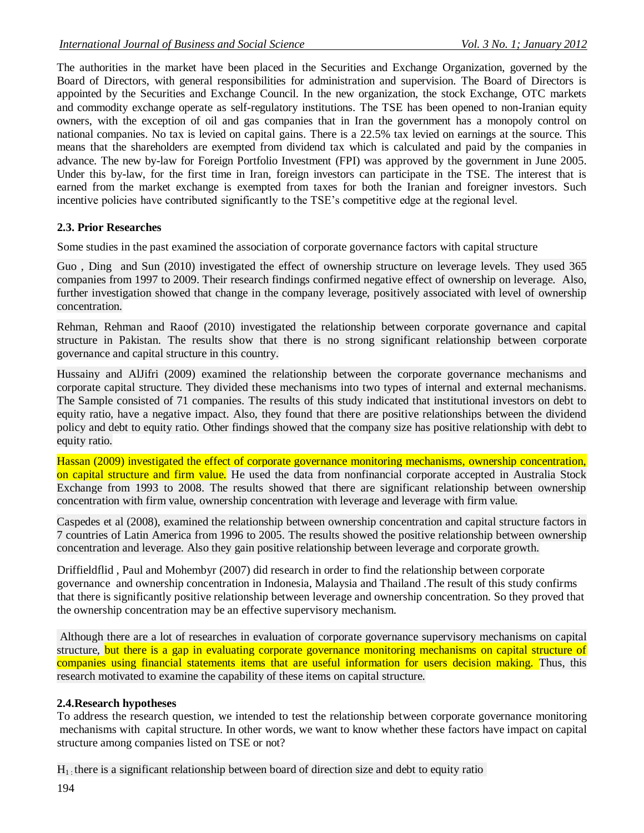The authorities in the market have been placed in the Securities and Exchange Organization, governed by the Board of Directors, with general responsibilities for administration and supervision. The Board of Directors is appointed by the Securities and Exchange Council. In the new organization, the stock Exchange, OTC markets and commodity exchange operate as self-regulatory institutions. The TSE has been opened to non-Iranian equity owners, with the exception of oil and gas companies that in Iran the government has a monopoly control on national companies. No tax is levied on capital gains. There is a 22.5% tax levied on earnings at the source. This means that the shareholders are exempted from dividend tax which is calculated and paid by the companies in advance. The new by-law for Foreign Portfolio Investment (FPI) was approved by the government in June 2005. Under this by-law, for the first time in Iran, foreign investors can participate in the TSE. The interest that is earned from the market exchange is exempted from taxes for both the Iranian and foreigner investors. Such incentive policies have contributed significantly to the TSE's competitive edge at the regional level.

## **2.3. Prior Researches**

Some studies in the past examined the association of corporate governance factors with capital structure

Guo, Ding and Sun (2010) investigated the effect of ownership structure on leverage levels. They used 365 companies from 1997 to 2009. Their research findings confirmed negative effect of ownership on leverage. Also, further investigation showed that change in the company leverage, positively associated with level of ownership concentration.

Rehman, Rehman and Raoof (2010) investigated the relationship between corporate governance and capital structure in Pakistan. The results show that there is no strong significant relationship between corporate governance and capital structure in this country.

Hussainy and AlJifri (2009) examined the relationship between the corporate governance mechanisms and corporate capital structure. They divided these mechanisms into two types of internal and external mechanisms. The Sample consisted of 71 companies. The results of this study indicated that institutional investors on debt to equity ratio, have a negative impact. Also, they found that there are positive relationships between the dividend policy and debt to equity ratio. Other findings showed that the company size has positive relationship with debt to equity ratio.

Hassan (2009) investigated the effect of corporate governance monitoring mechanisms, ownership concentration, on capital structure and firm value. He used the data from nonfinancial corporate accepted in Australia Stock Exchange from 1993 to 2008. The results showed that there are significant relationship between ownership concentration with firm value, ownership concentration with leverage and leverage with firm value.

Caspedes et al (2008), examined the relationship between ownership concentration and capital structure factors in 7 countries of Latin America from 1996 to 2005. The results showed the positive relationship between ownership concentration and leverage. Also they gain positive relationship between leverage and corporate growth.

Driffieldflid , Paul and Mohembyr (2007) did research in order to find the relationship between corporate governance and ownership concentration in Indonesia, Malaysia and Thailand .The result of this study confirms that there is significantly positive relationship between leverage and ownership concentration. So they proved that the ownership concentration may be an effective supervisory mechanism.

Although there are a lot of researches in evaluation of corporate governance supervisory mechanisms on capital structure, but there is a gap in evaluating corporate governance monitoring mechanisms on capital structure of companies using financial statements items that are useful information for users decision making. Thus, this research motivated to examine the capability of these items on capital structure.

## **2.4.Research hypotheses**

To address the research question, we intended to test the relationship between corporate governance monitoring mechanisms with capital structure. In other words, we want to know whether these factors have impact on capital structure among companies listed on TSE or not?

 $H<sub>1</sub>$ ; there is a significant relationship between board of direction size and debt to equity ratio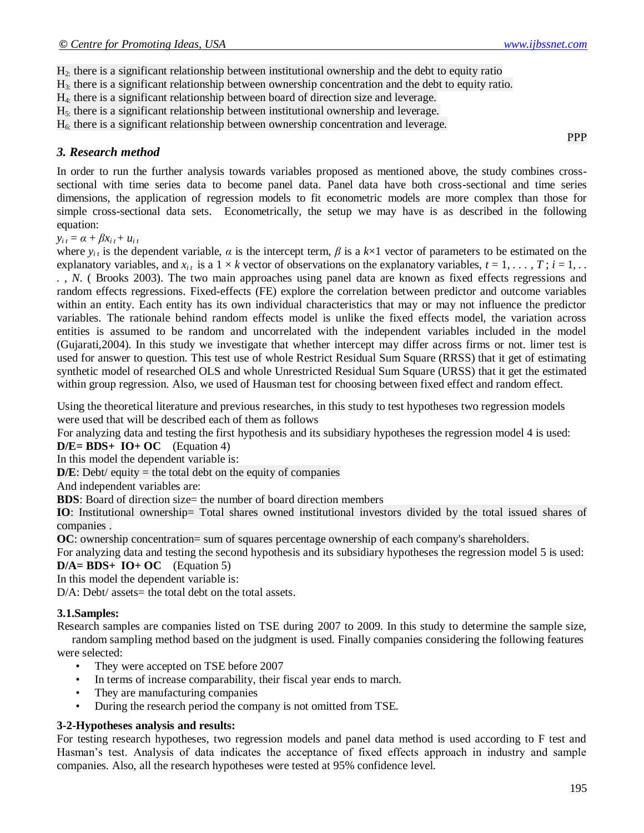PPP

H2: there is a significant relationship between institutional ownership and the debt to equity ratio

H3: there is a significant relationship between ownership concentration and the debt to equity ratio.

H4: there is a significant relationship between board of direction size and leverage.

H5: there is a significant relationship between institutional ownership and leverage.

 $H<sub>6</sub>$ : there is a significant relationship between ownership concentration and leverage.

#### *3. Research method*

In order to run the further analysis towards variables proposed as mentioned above, the study combines crosssectional with time series data to become panel data. Panel data have both cross-sectional and time series dimensions, the application of regression models to fit econometric models are more complex than those for simple cross-sectional data sets. Econometrically, the setup we may have is as described in the following equation:

 $y_{i t} = \alpha + \beta x_{i t} + u_{i t}$ 

where  $y_i$  is the dependent variable,  $\alpha$  is the intercept term,  $\beta$  is a  $k \times 1$  vector of parameters to be estimated on the explanatory variables, and  $x_i$  is a  $1 \times k$  vector of observations on the explanatory variables,  $t = 1, \ldots, T$ ;  $i = 1, \ldots$ *. , N*. ( Brooks 2003). The two main approaches using panel data are known as fixed effects regressions and random effects regressions. Fixed-effects (FE) explore the correlation between predictor and outcome variables within an entity. Each entity has its own individual characteristics that may or may not influence the predictor variables. The rationale behind random effects model is unlike the fixed effects model, the variation across entities is assumed to be random and uncorrelated with the independent variables included in the model (Gujarati,2004). In this study we investigate that whether intercept may differ across firms or not. limer test is used for answer to question. This test use of whole Restrict Residual Sum Square (RRSS) that it get of estimating synthetic model of researched OLS and whole Unrestricted Residual Sum Square (URSS) that it get the estimated within group regression. Also, we used of Hausman test for choosing between fixed effect and random effect.

Using the theoretical literature and previous researches, in this study to test hypotheses two regression models were used that will be described each of them as follows

For analyzing data and testing the first hypothesis and its subsidiary hypotheses the regression model 4 is used:

**D/E= BDS+ IO+ OC** (Equation 4)

In this model the dependent variable is:

 $D/E$ : Debt/ equity = the total debt on the equity of companies

And independent variables are:

**BDS**: Board of direction size= the number of board direction members

**IO**: Institutional ownership= Total shares owned institutional investors divided by the total issued shares of companies .

**OC**: ownership concentration= sum of squares percentage ownership of each company's shareholders.

For analyzing data and testing the second hypothesis and its subsidiary hypotheses the regression model 5 is used:  $D/A = BDS + IO + OC$  (Equation 5)

In this model the dependent variable is:

D/A: Debt/ assets= the total debt on the total assets.

#### **3.1.Samples:**

Research samples are companies listed on TSE during 2007 to 2009. In this study to determine the sample size,

random sampling method based on the judgment is used. Finally companies considering the following features were selected:

- They were accepted on TSE before 2007
- In terms of increase comparability, their fiscal year ends to march.
- They are manufacturing companies
- During the research period the company is not omitted from TSE.

#### **3-2-Hypotheses analysis and results:**

For testing research hypotheses, two regression models and panel data method is used according to F test and Hasman's test. Analysis of data indicates the acceptance of fixed effects approach in industry and sample companies. Also, all the research hypotheses were tested at 95% confidence level.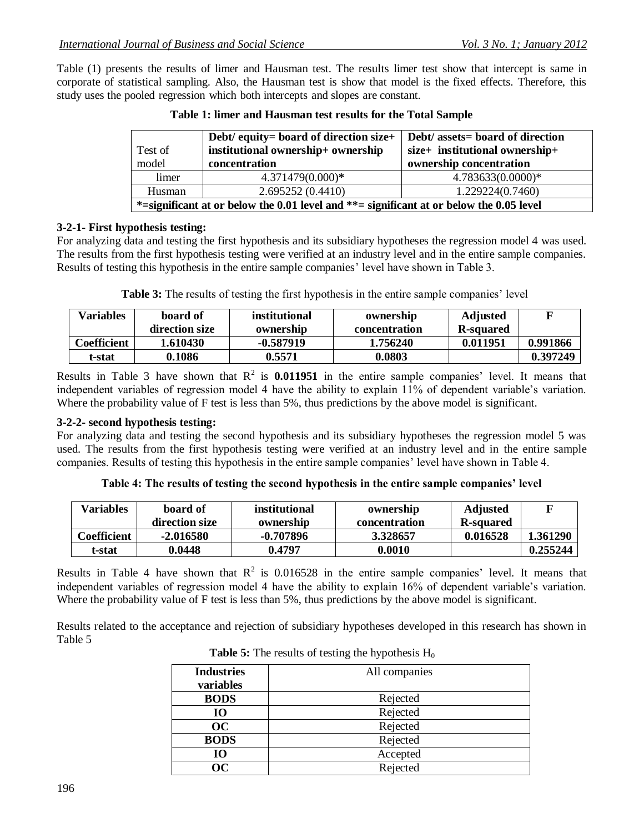Table (1) presents the results of limer and Hausman test. The results limer test show that intercept is same in corporate of statistical sampling. Also, the Hausman test is show that model is the fixed effects. Therefore, this study uses the pooled regression which both intercepts and slopes are constant.

| Test of<br>model                                                                              | Debt/ equity= board of direction size+<br>institutional ownership+ ownership<br>concentration | Debt/ assets= board of direction<br>size+ institutional ownership+<br>ownership concentration |
|-----------------------------------------------------------------------------------------------|-----------------------------------------------------------------------------------------------|-----------------------------------------------------------------------------------------------|
| limer                                                                                         | 4.371479(0.000)*                                                                              | 4.783633(0.0000)*                                                                             |
| Husman                                                                                        | 2.695252(0.4410)                                                                              | 1.229224(0.7460)                                                                              |
| $*$ =significant at or below the 0.01 level and $**$ = significant at or below the 0.05 level |                                                                                               |                                                                                               |

**Table 1: limer and Hausman test results for the Total Sample**

# **3-2-1- First hypothesis testing:**

For analyzing data and testing the first hypothesis and its subsidiary hypotheses the regression model 4 was used. The results from the first hypothesis testing were verified at an industry level and in the entire sample companies. Results of testing this hypothesis in the entire sample companies' level have shown in Table 3.

**Table 3:** The results of testing the first hypothesis in the entire sample companies' level

| <b>Variables</b> | board of       | institutional | ownership     | <b>Adjusted</b> | F        |
|------------------|----------------|---------------|---------------|-----------------|----------|
|                  | direction size | ownership     | concentration | R-squared       |          |
| Coefficient      | 1.610430       | -0.587919     | 1.756240      | 0.011951        | 0.991866 |
| t-stat           | 0.1086         | 0.5571        | 0.0803        |                 | 0.397249 |

Results in Table 3 have shown that  $R^2$  is **0.011951** in the entire sample companies' level. It means that independent variables of regression model 4 have the ability to explain 11% of dependent variable's variation. Where the probability value of F test is less than 5%, thus predictions by the above model is significant.

# **3-2-2- second hypothesis testing:**

For analyzing data and testing the second hypothesis and its subsidiary hypotheses the regression model 5 was used. The results from the first hypothesis testing were verified at an industry level and in the entire sample companies. Results of testing this hypothesis in the entire sample companies' level have shown in Table 4.

| Table 4: The results of testing the second hypothesis in the entire sample companies' level |  |  |
|---------------------------------------------------------------------------------------------|--|--|
|                                                                                             |  |  |

| <b>Variables</b> | board of       | institutional | ownership     | <b>Adjusted</b> |          |
|------------------|----------------|---------------|---------------|-----------------|----------|
|                  | direction size | ownership     | concentration | R-squared       |          |
| Coefficient      | $-2.016580$    | $-0.707896$   | 3.328657      | 0.016528        | 1.361290 |
| t-stat           | 0.0448         | 0.4797        | 0.0010        |                 | 0.255244 |

Results in Table 4 have shown that  $R^2$  is 0.016528 in the entire sample companies' level. It means that independent variables of regression model 4 have the ability to explain 16% of dependent variable's variation. Where the probability value of F test is less than 5%, thus predictions by the above model is significant.

Results related to the acceptance and rejection of subsidiary hypotheses developed in this research has shown in Table 5

| <b>Industries</b> | All companies |
|-------------------|---------------|
| variables         |               |
| <b>BODS</b>       | Rejected      |
| <b>IO</b>         | Rejected      |
| OC                | Rejected      |
| <b>BODS</b>       | Rejected      |
| <b>IO</b>         | Accepted      |
| OC                | Rejected      |

**Table 5:** The results of testing the hypothesis  $H_0$